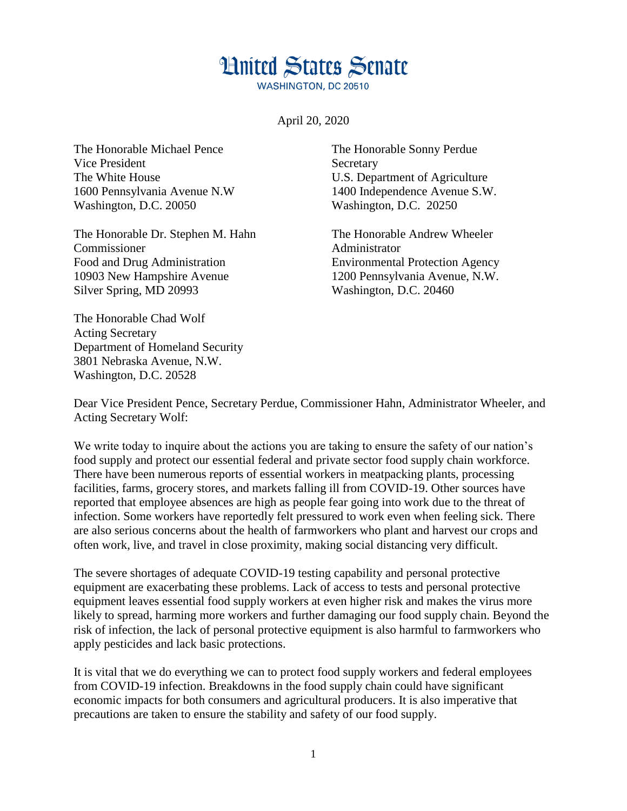## **Hnited States Senate**

**WASHINGTON, DC 20510** 

April 20, 2020

The Honorable Michael Pence Vice President The White House 1600 Pennsylvania Avenue N.W Washington, D.C. 20050

The Honorable Dr. Stephen M. Hahn Commissioner Food and Drug Administration 10903 New Hampshire Avenue Silver Spring, MD 20993

The Honorable Chad Wolf Acting Secretary Department of Homeland Security 3801 Nebraska Avenue, N.W. Washington, D.C. 20528

The Honorable Sonny Perdue **Secretary** U.S. Department of Agriculture 1400 Independence Avenue S.W. Washington, D.C. 20250

The Honorable Andrew Wheeler Administrator Environmental Protection Agency 1200 Pennsylvania Avenue, N.W. Washington, D.C. 20460

Dear Vice President Pence, Secretary Perdue, Commissioner Hahn, Administrator Wheeler, and Acting Secretary Wolf:

We write today to inquire about the actions you are taking to ensure the safety of our nation's food supply and protect our essential federal and private sector food supply chain workforce. There have been numerous reports of essential workers in meatpacking plants, processing facilities, farms, grocery stores, and markets falling ill from COVID-19. Other sources have reported that employee absences are high as people fear going into work due to the threat of infection. Some workers have reportedly felt pressured to work even when feeling sick. There are also serious concerns about the health of farmworkers who plant and harvest our crops and often work, live, and travel in close proximity, making social distancing very difficult.

The severe shortages of adequate COVID-19 testing capability and personal protective equipment are exacerbating these problems. Lack of access to tests and personal protective equipment leaves essential food supply workers at even higher risk and makes the virus more likely to spread, harming more workers and further damaging our food supply chain. Beyond the risk of infection, the lack of personal protective equipment is also harmful to farmworkers who apply pesticides and lack basic protections.

It is vital that we do everything we can to protect food supply workers and federal employees from COVID-19 infection. Breakdowns in the food supply chain could have significant economic impacts for both consumers and agricultural producers. It is also imperative that precautions are taken to ensure the stability and safety of our food supply.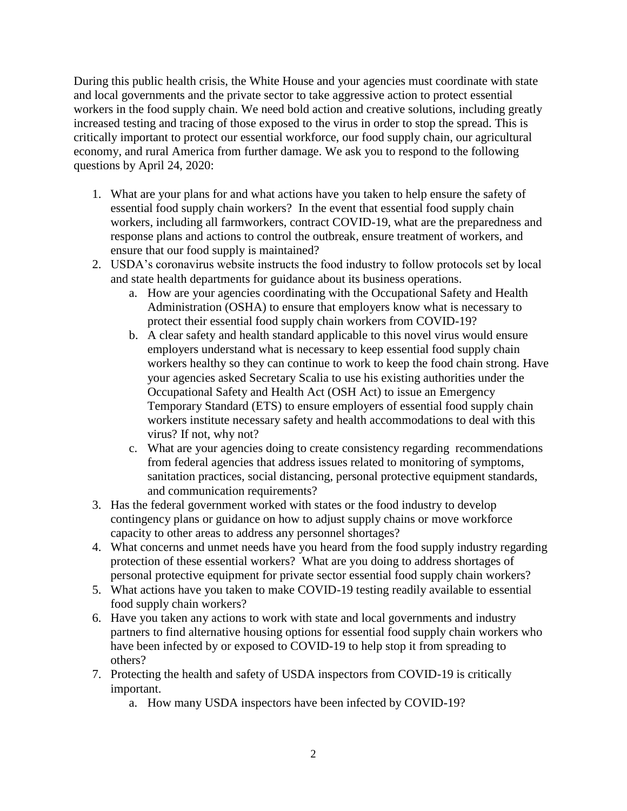During this public health crisis, the White House and your agencies must coordinate with state and local governments and the private sector to take aggressive action to protect essential workers in the food supply chain. We need bold action and creative solutions, including greatly increased testing and tracing of those exposed to the virus in order to stop the spread. This is critically important to protect our essential workforce, our food supply chain, our agricultural economy, and rural America from further damage. We ask you to respond to the following questions by April 24, 2020:

- 1. What are your plans for and what actions have you taken to help ensure the safety of essential food supply chain workers? In the event that essential food supply chain workers, including all farmworkers, contract COVID-19, what are the preparedness and response plans and actions to control the outbreak, ensure treatment of workers, and ensure that our food supply is maintained?
- 2. USDA's coronavirus website instructs the food industry to follow protocols set by local and state health departments for guidance about its business operations.
	- a. How are your agencies coordinating with the Occupational Safety and Health Administration (OSHA) to ensure that employers know what is necessary to protect their essential food supply chain workers from COVID-19?
	- b. A clear safety and health standard applicable to this novel virus would ensure employers understand what is necessary to keep essential food supply chain workers healthy so they can continue to work to keep the food chain strong. Have your agencies asked Secretary Scalia to use his existing authorities under the Occupational Safety and Health Act (OSH Act) to issue an Emergency Temporary Standard (ETS) to ensure employers of essential food supply chain workers institute necessary safety and health accommodations to deal with this virus? If not, why not?
	- c. What are your agencies doing to create consistency regarding recommendations from federal agencies that address issues related to monitoring of symptoms, sanitation practices, social distancing, personal protective equipment standards, and communication requirements?
- 3. Has the federal government worked with states or the food industry to develop contingency plans or guidance on how to adjust supply chains or move workforce capacity to other areas to address any personnel shortages?
- 4. What concerns and unmet needs have you heard from the food supply industry regarding protection of these essential workers? What are you doing to address shortages of personal protective equipment for private sector essential food supply chain workers?
- 5. What actions have you taken to make COVID-19 testing readily available to essential food supply chain workers?
- 6. Have you taken any actions to work with state and local governments and industry partners to find alternative housing options for essential food supply chain workers who have been infected by or exposed to COVID-19 to help stop it from spreading to others?
- 7. Protecting the health and safety of USDA inspectors from COVID-19 is critically important.
	- a. How many USDA inspectors have been infected by COVID-19?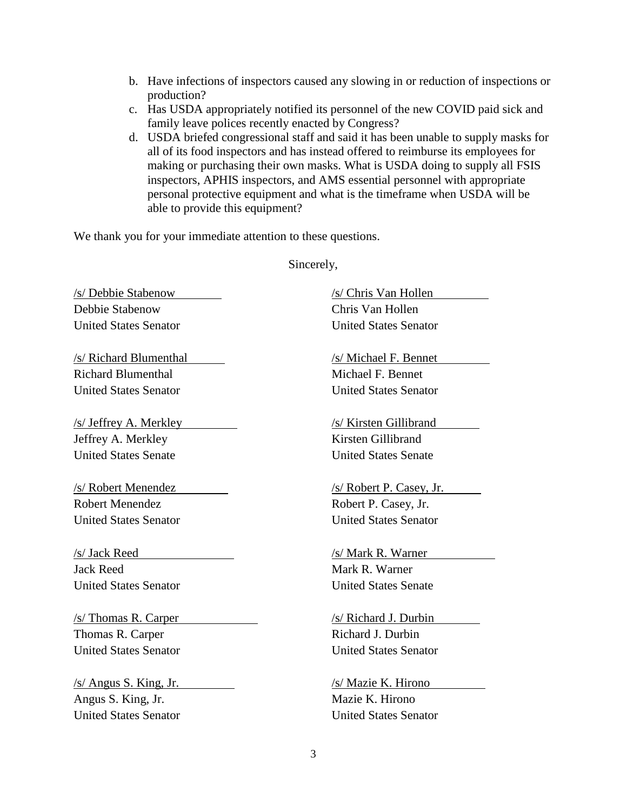- b. Have infections of inspectors caused any slowing in or reduction of inspections or production?
- c. Has USDA appropriately notified its personnel of the new COVID paid sick and family leave polices recently enacted by Congress?
- d. USDA briefed congressional staff and said it has been unable to supply masks for all of its food inspectors and has instead offered to reimburse its employees for making or purchasing their own masks. What is USDA doing to supply all FSIS inspectors, APHIS inspectors, and AMS essential personnel with appropriate personal protective equipment and what is the timeframe when USDA will be able to provide this equipment?

We thank you for your immediate attention to these questions.

/s/ Debbie Stabenow Debbie Stabenow United States Senator

/s/ Richard Blumenthal Richard Blumenthal United States Senator

/s/ Jeffrey A. Merkley Jeffrey A. Merkley United States Senate

/s/ Robert Menendez Robert Menendez United States Senator

/s/ Jack Reed Jack Reed United States Senator

/s/ Thomas R. Carper Thomas R. Carper United States Senator

/s/ Angus S. King, Jr. Angus S. King, Jr. United States Senator

Sincerely,

/s/ Chris Van Hollen Chris Van Hollen United States Senator

/s/ Michael F. Bennet Michael F. Bennet United States Senator

/s/ Kirsten Gillibrand Kirsten Gillibrand United States Senate

/s/ Robert P. Casey, Jr. Robert P. Casey, Jr. United States Senator

/s/ Mark R. Warner Mark R. Warner United States Senate

/s/ Richard J. Durbin Richard J. Durbin United States Senator

/s/ Mazie K. Hirono Mazie K. Hirono United States Senator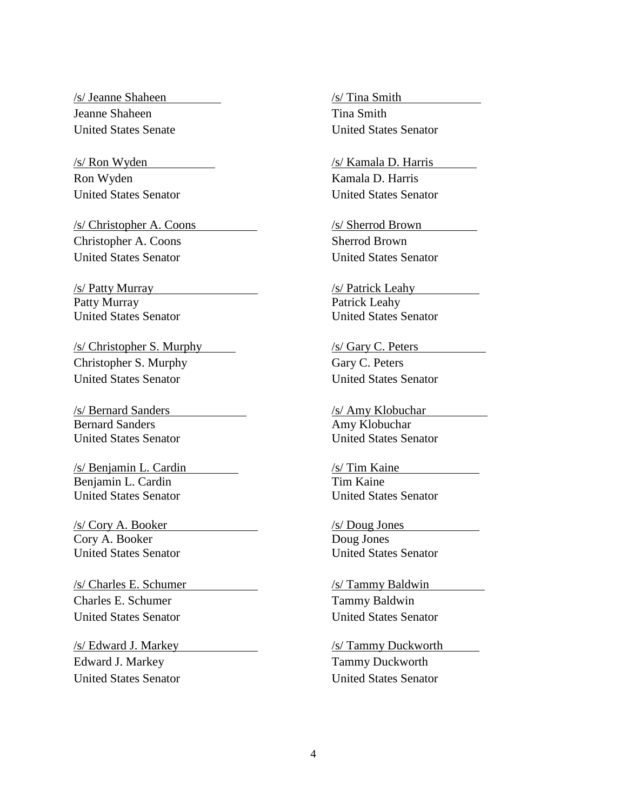/s/ Jeanne Shaheen Jeanne Shaheen United States Senate

Ron Wyden Kamala D. Harris

Christopher A. Coons Sherrod Brown United States Senator United States Senator

Patty Murray Patrick Leahy United States Senator United States Senator

/s/ Christopher S. Murphy /s/ Gary C. Peters Christopher S. Murphy Gary C. Peters United States Senator United States Senator

Bernard Sanders **Amy Klobuchar** United States Senator United States Senator

/s/ Benjamin L. Cardin /s/ Tim Kaine Benjamin L. Cardin Tim Kaine United States Senator United States Senator

/s/ Cory A. Booker /s/ Doug Jones Cory A. Booker Doug Jones United States Senator United States Senator

/s/ Charles E. Schumer /s/ Tammy Baldwin Charles E. Schumer Tammy Baldwin United States Senator United States Senator

Edward J. Markey Tammy Duckworth United States Senator United States Senator

/s/ Tina Smith Tina Smith United States Senator

/s/ Ron Wyden /s/ Kamala D. Harris United States Senator United States Senator

/s/ Christopher A. Coons /s/ Sherrod Brown

/s/ Patty Murray /s/ Patrick Leahy

/s/ Bernard Sanders /s/ Amy Klobuchar

/s/ Edward J. Markey /s/ Tammy Duckworth